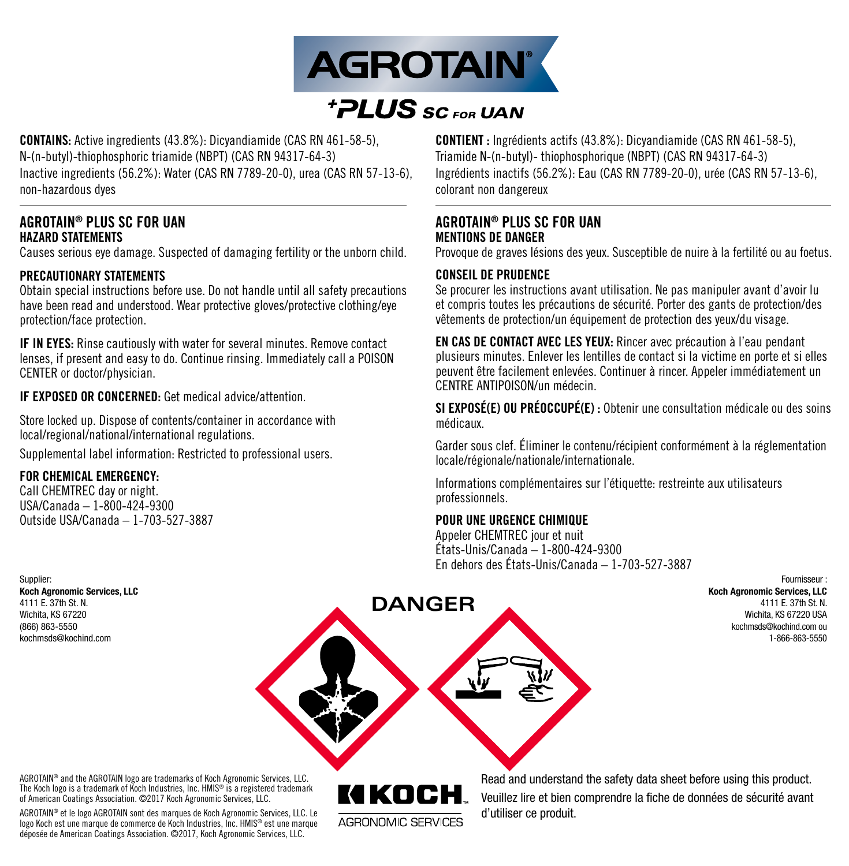

# *FPLUS* SC FOR UAN

CONTAINS: Active ingredients (43.8%): Dicyandiamide (CAS RN 461-58-5), N-(n-butyl)-thiophosphoric triamide (NBPT) (CAS RN 94317-64-3) Inactive ingredients (56.2%): Water (CAS RN 7789-20-0), urea (CAS RN 57-13-6), non-hazardous dyes

# AGROTAIN® PLUS SC FOR UAN HAZARD STATEMENTS

Causes serious eye damage. Suspected of damaging fertility or the unborn child.

# PRECAUTIONARY STATEMENTS

Obtain special instructions before use. Do not handle until all safety precautions have been read and understood. Wear protective gloves/protective clothing/eye protection/face protection.

IF IN EYES: Rinse cautiously with water for several minutes. Remove contact lenses, if present and easy to do. Continue rinsing. Immediately call a POISON CENTER or doctor/physician.

IF EXPOSED OR CONCERNED: Get medical advice/attention.

Store locked up. Dispose of contents/container in accordance with local/regional/national/international regulations.

Supplemental label information: Restricted to professional users.

#### FOR CHEMICAL EMERGENCY:

Call CHEMTREC day or night. USA/Canada – 1-800-424-9300 Outside USA/Canada – 1-703-527-3887 CONTIENT : Ingrédients actifs (43.8%): Dicyandiamide (CAS RN 461-58-5), Triamide N-(n-butyl)- thiophosphorique (NBPT) (CAS RN 94317-64-3) Ingrédients inactifs (56.2%): Eau (CAS RN 7789-20-0), urée (CAS RN 57-13-6), colorant non dangereux

# AGROTAIN® PLUS SC FOR UAN MENTIONS DE DANGER

Provoque de graves lésions des yeux. Susceptible de nuire à la fertilité ou au foetus.

# CONSEIL DE PRUDENCE

Se procurer les instructions avant utilisation. Ne pas manipuler avant d'avoir lu et compris toutes les précautions de sécurité. Porter des gants de protection/des vêtements de protection/un équipement de protection des yeux/du visage.

EN CAS DE CONTACT AVEC LES YEUX: Rincer avec précaution à l'eau pendant plusieurs minutes. Enlever les lentilles de contact si la victime en porte et si elles peuvent être facilement enlevées. Continuer à rincer. Appeler immédiatement un CENTRE ANTIPOISON/un médecin.

SI EXPOSÉ(E) OU PRÉOCCUPÉ(E) : Obtenir une consultation médicale ou des soins médicaux.

Garder sous clef. Éliminer le contenu/récipient conformément à la réglementation locale/régionale/nationale/internationale.

Informations complémentaires sur l'étiquette: restreinte aux utilisateurs professionnels.

#### POUR UNE URGENCE CHIMIQUE

Appeler CHEMTREC jour et nuit États-Unis/Canada – 1-800-424-9300 En dehors des États-Unis/Canada – 1-703-527-3887

> Fournisseur : Koch Agronomic Services, LLC 4111 E. 37th St. N. Wichita, KS 67220 USA kochmsds@kochind.com ou 1-866-863-5550

Supplier: Koch Agronomic Services, LLC 4111 E. 37th St. N. Wichita, KS 67220 (866) 863-5550 kochmsds@kochind.com

**DANGER**

AGROTAIN® and the AGROTAIN logo are trademarks of Koch Agronomic Services, LLC. The Koch logo is a trademark of Koch Industries, Inc. HMIS® is a registered trademark of American Coatings Association. ©2017 Koch Agronomic Services, LLC.

AGROTAIN® et le logo AGROTAIN sont des marques de Koch Agronomic Services, LLC. Le logo Koch est une marque de commerce de Koch Industries, Inc. HMIS® est une marque déposée de American Coatings Association. ©2017, Koch Agronomic Services, LLC.

KIKN AGBONOMIC SEBVICES Read and understand the safety data sheet before using this product. Veuillez lire et bien comprendre la fiche de données de sécurité avant d'utiliser ce produit.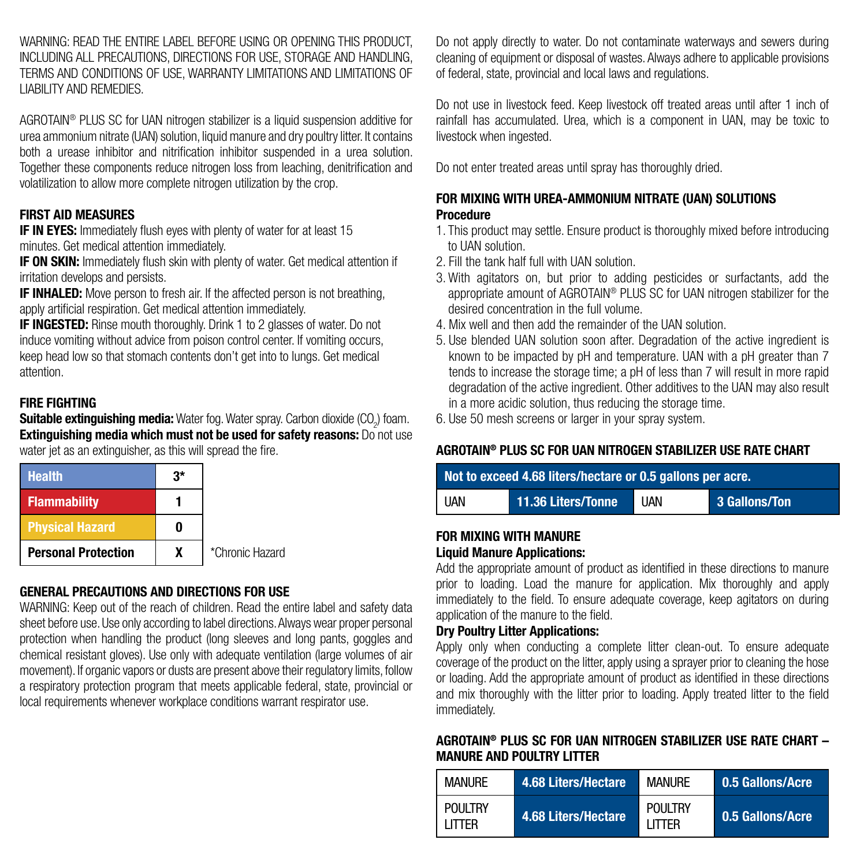WARNING: READ THE ENTIRE LABEL BEFORE USING OR OPENING THIS PRODUCT. INCLUDING ALL PRECAUTIONS, DIRECTIONS FOR USE, STORAGE AND HANDLING, TERMS AND CONDITIONS OF USE, WARRANTY LIMITATIONS AND LIMITATIONS OF LIABILITY AND REMEDIES.

AGROTAIN<sup>®</sup> PLUS SC for UAN nitrogen stabilizer is a liquid suspension additive for urea ammonium nitrate (UAN) solution, liquid manure and dry poultry litter. It contains both a urease inhibitor and nitrification inhibitor suspended in a urea solution. Together these components reduce nitrogen loss from leaching, denitrification and volatilization to allow more complete nitrogen utilization by the crop.

# FIRST AID MEASURES

**IF IN EYES:** Immediately flush eyes with plenty of water for at least 15 minutes. Get medical attention immediately.

**IF ON SKIN:** Immediately flush skin with plenty of water. Get medical attention if irritation develops and persists.

**IF INHALED:** Move person to fresh air. If the affected person is not breathing, apply artificial respiration. Get medical attention immediately.

**IF INGESTED:** Rinse mouth thoroughly. Drink 1 to 2 glasses of water. Do not induce vomiting without advice from poison control center. If vomiting occurs, keep head low so that stomach contents don't get into to lungs. Get medical attention.

#### FIRE FIGHTING

**Suitable extinguishing media:** Water fog. Water spray. Carbon dioxide (CO<sub>2</sub>) foam. **Extinguishing media which must not be used for safety reasons:** Do not use water jet as an extinguisher, as this will spread the fire.

| <b>Health</b>              | 3* |                 |
|----------------------------|----|-----------------|
| <b>Flammability</b>        |    |                 |
| <b>Physical Hazard</b>     |    |                 |
| <b>Personal Protection</b> | x  | *Chronic Hazard |

# GENERAL PRECAUTIONS AND DIRECTIONS FOR USE

WARNING: Keep out of the reach of children. Read the entire label and safety data sheet before use. Use only according to label directions. Always wear proper personal protection when handling the product (long sleeves and long pants, goggles and chemical resistant gloves). Use only with adequate ventilation (large volumes of air movement). If organic vapors or dusts are present above their regulatory limits, follow a respiratory protection program that meets applicable federal, state, provincial or local requirements whenever workplace conditions warrant respirator use.

Do not apply directly to water. Do not contaminate waterways and sewers during cleaning of equipment or disposal of wastes. Always adhere to applicable provisions of federal, state, provincial and local laws and regulations.

Do not use in livestock feed. Keep livestock off treated areas until after 1 inch of rainfall has accumulated. Urea, which is a component in UAN, may be toxic to livestock when ingested.

Do not enter treated areas until spray has thoroughly dried.

# FOR MIXING WITH UREA-AMMONIUM NITRATE (UAN) SOLUTIONS **Procedure**

- 1. This product may settle. Ensure product is thoroughly mixed before introducing to UAN solution.
- 2. Fill the tank half full with UAN solution.
- 3. With agitators on, but prior to adding pesticides or surfactants, add the appropriate amount of AGROTAIN® PLUS SC for UAN nitrogen stabilizer for the desired concentration in the full volume.
- 4. Mix well and then add the remainder of the UAN solution.
- 5. Use blended UAN solution soon after. Degradation of the active ingredient is known to be impacted by pH and temperature. UAN with a pH greater than 7 tends to increase the storage time; a pH of less than 7 will result in more rapid degradation of the active ingredient. Other additives to the UAN may also result in a more acidic solution, thus reducing the storage time.
- 6. Use 50 mesh screens or larger in your spray system.

# AGROTAIN® PLUS SC FOR UAN NITROGEN STABILIZER USE RATE CHART

| Not to exceed 4.68 liters/hectare or 0.5 gallons per acre. |                    |            |               |
|------------------------------------------------------------|--------------------|------------|---------------|
| <b>UAN</b>                                                 | 11.36 Liters/Tonne | <b>UAN</b> | 3 Gallons/Ton |

#### FOR MIXING WITH MANURE Liquid Manure Applications:

Add the appropriate amount of product as identified in these directions to manure prior to loading. Load the manure for application. Mix thoroughly and apply immediately to the field. To ensure adequate coverage, keep agitators on during application of the manure to the field.

# Dry Poultry Litter Applications:

Apply only when conducting a complete litter clean-out. To ensure adequate coverage of the product on the litter, apply using a sprayer prior to cleaning the hose or loading. Add the appropriate amount of product as identified in these directions and mix thoroughly with the litter prior to loading. Apply treated litter to the field immediately.

# AGROTAIN® PLUS SC FOR UAN NITROGEN STABILIZER USE RATE CHART – MANURE AND POULTRY LITTER

| <b>MANURE</b>             | 4.68 Liters/Hectare | <b>MANIJRF</b>                   | 0.5 Gallons/Acre |
|---------------------------|---------------------|----------------------------------|------------------|
| <b>POULTRY</b><br>I ITTFR | 4.68 Liters/Hectare | <b>POULTRY</b><br><b>I ITTER</b> | 0.5 Gallons/Acre |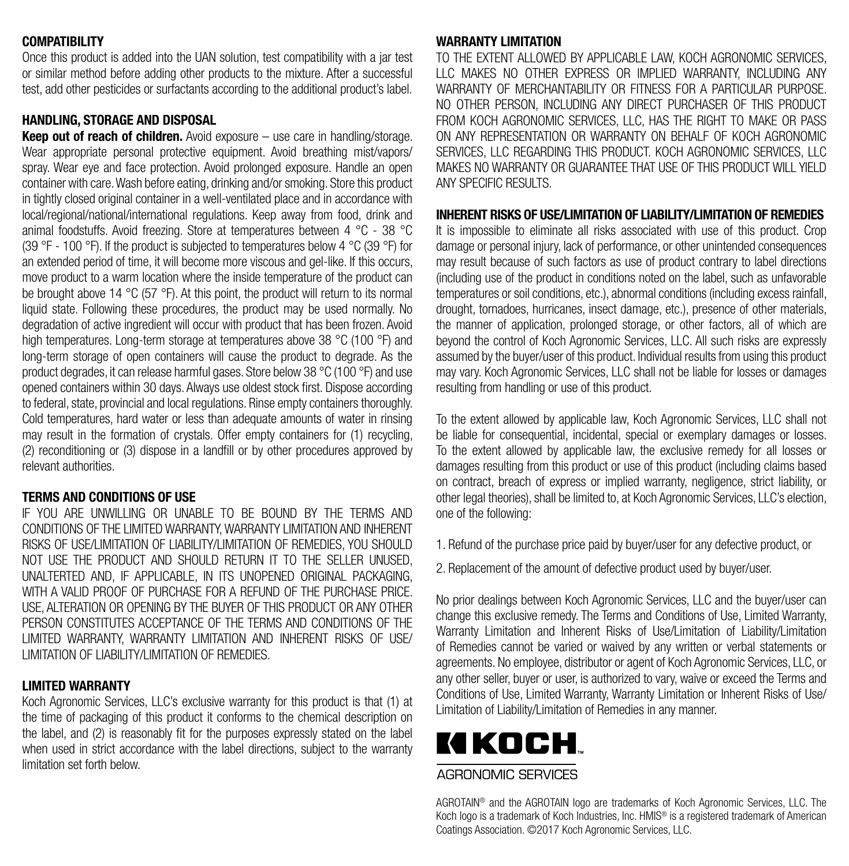#### **COMPATIBILITY**

Once this product is added into the UAN solution, test compatibility with a jar test or similar method before adding other products to the mixture. After a successful test, add other pesticides or surfactants according to the additional product's label.

# HANDLING, STORAGE AND DISPOSAL

**Keep out of reach of children.** Avoid exposure  $-$  use care in handling/storage. Wear appropriate personal protective equipment. Avoid breathing mist/vapors/ spray. Wear eye and face protection. Avoid prolonged exposure. Handle an open container with care. Wash before eating, drinking and/or smoking. Store this product in tightly closed original container in a well-ventilated place and in accordance with local/regional/national/international regulations. Keep away from food, drink and animal foodstuffs. Avoid freezing. Store at temperatures between 4 °C - 38 °C (39 °F - 100 °F). If the product is subjected to temperatures below 4 °C (39 °F) for an extended period of time, it will become more viscous and gel-like. If this occurs, move product to a warm location where the inside temperature of the product can be brought above 14 °C (57 °F). At this point, the product will return to its normal liquid state. Following these procedures, the product may be used normally. No degradation of active ingredient will occur with product that has been frozen. Avoid high temperatures. Long-term storage at temperatures above 38 °C (100 °F) and long-term storage of open containers will cause the product to degrade. As the product degrades, it can release harmful gases. Store below 38 °C (100 °F) and use opened containers within 30 days. Always use oldest stock first. Dispose according to federal, state, provincial and local regulations. Rinse empty containers thoroughly. Cold temperatures, hard water or less than adequate amounts of water in rinsing may result in the formation of crystals. Offer empty containers for (1) recycling, (2) reconditioning or (3) dispose in a landfill or by other procedures approved by relevant authorities.

#### TERMS AND CONDITIONS OF USE

IF YOU ARE UNWILLING OR UNABLE TO BE BOUND BY THE TERMS AND CONDITIONS OF THE LIMITED WARRANTY, WARRANTY LIMITATION AND INHERENT RISKS OF USE/LIMITATION OF LIABILITY/LIMITATION OF REMEDIES, YOU SHOULD NOT USE THE PRODUCT AND SHOULD RETURN IT TO THE SELLER UNUSED, UNALTERTED AND, IF APPLICABLE, IN ITS UNOPENED ORIGINAL PACKAGING, WITH A VALID PROOF OF PURCHASE FOR A REFUND OF THE PURCHASE PRICE. USE, ALTERATION OR OPENING BY THE BUYER OF THIS PRODUCT OR ANY OTHER PERSON CONSTITUTES ACCEPTANCE OF THE TERMS AND CONDITIONS OF THE LIMITED WARRANTY, WARRANTY LIMITATION AND INHERENT RISKS OF USE/ LIMITATION OF LIABILITY/LIMITATION OF REMEDIES.

#### LIMITED WARRANTY

Koch Agronomic Services, LLC's exclusive warranty for this product is that (1) at the time of packaging of this product it conforms to the chemical description on the label, and (2) is reasonably fit for the purposes expressly stated on the label when used in strict accordance with the label directions, subject to the warranty limitation set forth below.

#### WARRANTY LIMITATION

TO THE EXTENT ALLOWED BY APPLICABLE LAW, KOCH AGRONOMIC SERVICES, LLC MAKES NO OTHER EXPRESS OR IMPLIED WARRANTY, INCLUDING ANY WARRANTY OF MERCHANTABILITY OR FITNESS FOR A PARTICULAR PURPOSE. NO OTHER PERSON, INCLUDING ANY DIRECT PURCHASER OF THIS PRODUCT FROM KOCH AGRONOMIC SERVICES, LLC, HAS THE RIGHT TO MAKE OR PASS ON ANY REPRESENTATION OR WARRANTY ON BEHALF OF KOCH AGRONOMIC SERVICES, LLC REGARDING THIS PRODUCT, KOCH AGRONOMIC SERVICES, LLC MAKES NO WARRANTY OR GUARANTEE THAT USE OF THIS PRODUCT WILL YIELD ANY SPECIFIC RESULTS.

#### INHERENT RISKS OF USE/LIMITATION OF LIABILITY/LIMITATION OF REMEDIES

It is impossible to eliminate all risks associated with use of this product. Crop damage or personal injury, lack of performance, or other unintended consequences may result because of such factors as use of product contrary to label directions (including use of the product in conditions noted on the label, such as unfavorable temperatures or soil conditions, etc.), abnormal conditions (including excess rainfall, drought, tornadoes, hurricanes, insect damage, etc.), presence of other materials, the manner of application, prolonged storage, or other factors, all of which are beyond the control of Koch Agronomic Services, LLC. All such risks are expressly assumed by the buyer/user of this product. Individual results from using this product may vary. Koch Agronomic Services, LLC shall not be liable for losses or damages resulting from handling or use of this product.

To the extent allowed by applicable law, Koch Agronomic Services, LLC shall not be liable for consequential, incidental, special or exemplary damages or losses. To the extent allowed by applicable law, the exclusive remedy for all losses or damages resulting from this product or use of this product (including claims based on contract, breach of express or implied warranty, negligence, strict liability, or other legal theories), shall be limited to, at Koch Agronomic Services, LLC's election, one of the following:

- 1. Refund of the purchase price paid by buyer/user for any defective product, or
- 2. Replacement of the amount of defective product used by buyer/user.

No prior dealings between Koch Agronomic Services, LLC and the buyer/user can change this exclusive remedy. The Terms and Conditions of Use, Limited Warranty, Warranty Limitation and Inherent Risks of Use/Limitation of Liability/Limitation of Remedies cannot be varied or waived by any written or verbal statements or agreements. No employee, distributor or agent of Koch Agronomic Services, LLC, or any other seller, buyer or user, is authorized to vary, waive or exceed the Terms and Conditions of Use, Limited Warranty, Warranty Limitation or Inherent Risks of Use/ Limitation of Liability/Limitation of Remedies in any manner.

# KIKOCH

# AGRONOMIC SERVICES

AGROTAIN® and the AGROTAIN logo are trademarks of Koch Agronomic Services, LLC. The Koch logo is a trademark of Koch Industries, Inc. HMIS<sup>®</sup> is a registered trademark of American Coatings Association. ©2017 Koch Agronomic Services, LLC.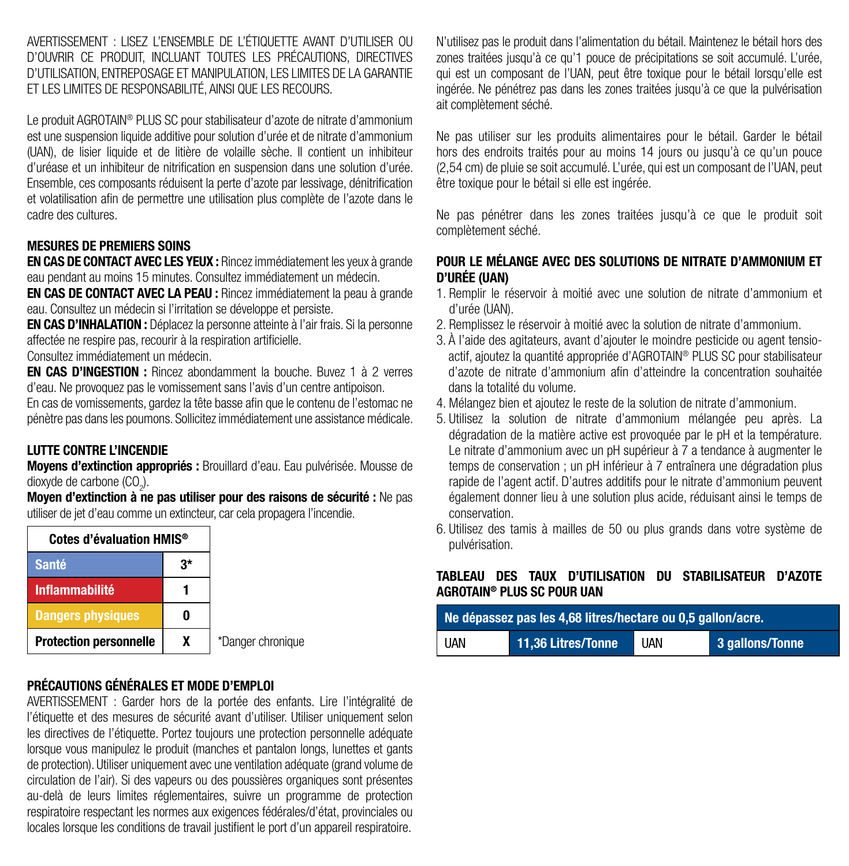AVERTISSEMENT : LISEZ L'ENSEMBLE DE L'ÉTIQUETTE AVANT D'UTILISER OU D'OUVRIR CE PRODUIT, INCLUANT TOUTES LES PRÉCAUTIONS, DIRECTIVES D'UTILISATION, ENTREPOSAGE ET MANIPULATION, LES LIMITES DE LA GARANTIE ET LES LIMITES DE RESPONSABILITÉ, AINSI QUE LES RECOURS.

Le produit AGROTAIN® PLUS SC pour stabilisateur d'azote de nitrate d'ammonium est une suspension liquide additive pour solution d'urée et de nitrate d'ammonium (UAN), de lisier liquide et de litière de volaille sèche. Il contient un inhibiteur d'uréase et un inhibiteur de nitrification en suspension dans une solution d'urée. Ensemble, ces composants réduisent la perte d'azote par lessivage, dénitrification et volatilisation afin de permettre une utilisation plus complète de l'azote dans le cadre des cultures.

# MESURES DE PREMIERS SOINS

EN CAS DE CONTACT AVEC LES YEUX : Rincez immédiatement les yeux à grande eau pendant au moins 15 minutes. Consultez immédiatement un médecin.

EN CAS DE CONTACT AVEC LA PEAU : Rincez immédiatement la peau à grande eau. Consultez un médecin si l'irritation se développe et persiste.

EN CAS D'INHALATION : Déplacez la personne atteinte à l'air frais. Si la personne affectée ne respire pas, recourir à la respiration artificielle.

Consultez immédiatement un médecin.

EN CAS D'INGESTION : Rincez abondamment la bouche. Buvez 1 à 2 verres d'eau. Ne provoquez pas le vomissement sans l'avis d'un centre antipoison.

En cas de vomissements, gardez la tête basse afin que le contenu de l'estomac ne pénètre pas dans les poumons. Sollicitez immédiatement une assistance médicale.

# LUTTE CONTRE L'INCENDIE

Moyens d'extinction appropriés : Brouillard d'eau. Eau pulvérisée. Mousse de dioxyde de carbone (CO<sub>2</sub>).

Moyen d'extinction à ne pas utiliser pour des raisons de sécurité : Ne pas utiliser de jet d'eau comme un extincteur, car cela propagera l'incendie.

| Cotes d'évaluation HMIS <sup>®</sup> |  |  |
|--------------------------------------|--|--|
| <b>Santé</b>                         |  |  |
| <b>Inflammabilité</b>                |  |  |
| <b>Dangers physiques</b>             |  |  |
| <b>Protection personnelle</b>        |  |  |

anger chronique

# PRÉCAUTIONS GÉNÉRALES ET MODE D'EMPLOI

AVERTISSEMENT : Garder hors de la portée des enfants. Lire l'intégralité de l'étiquette et des mesures de sécurité avant d'utiliser. Utiliser uniquement selon les directives de l'étiquette. Portez toujours une protection personnelle adéquate lorsque vous manipulez le produit (manches et pantalon longs, lunettes et gants de protection). Utiliser uniquement avec une ventilation adéquate (grand volume de circulation de l'air). Si des vapeurs ou des poussières organiques sont présentes au-delà de leurs limites réglementaires, suivre un programme de protection respiratoire respectant les normes aux exigences fédérales/d'état, provinciales ou locales lorsque les conditions de travail justifient le port d'un appareil respiratoire.

N'utilisez pas le produit dans l'alimentation du bétail. Maintenez le bétail hors des zones traitées jusqu'à ce qu'1 pouce de précipitations se soit accumulé. L'urée, qui est un composant de l'UAN, peut être toxique pour le bétail lorsqu'elle est ingérée. Ne pénétrez pas dans les zones traitées jusqu'à ce que la pulvérisation ait complètement séché.

Ne pas utiliser sur les produits alimentaires pour le bétail. Garder le bétail hors des endroits traités pour au moins 14 jours ou jusqu'à ce qu'un pouce (2,54 cm) de pluie se soit accumulé. L'urée, qui est un composant de l'UAN, peut être toxique pour le bétail si elle est ingérée.

Ne pas pénétrer dans les zones traitées jusqu'à ce que le produit soit complètement séché.

#### POUR LE MÉLANGE AVEC DES SOLUTIONS DE NITRATE D'AMMONIUM ET D'URÉE (UAN)

- 1. Remplir le réservoir à moitié avec une solution de nitrate d'ammonium et d'urée (UAN).
- 2. Remplissez le réservoir à moitié avec la solution de nitrate d'ammonium.
- 3. À l'aide des agitateurs, avant d'ajouter le moindre pesticide ou agent tensioactif, ajoutez la quantité appropriée d'AGROTAIN® PLUS SC pour stabilisateur d'azote de nitrate d'ammonium afin d'atteindre la concentration souhaitée dans la totalité du volume.
- 4. Mélangez bien et ajoutez le reste de la solution de nitrate d'ammonium.
- 5. Utilisez la solution de nitrate d'ammonium mélangée peu après. La dégradation de la matière active est provoquée par le pH et la température. Le nitrate d'ammonium avec un pH supérieur à 7 a tendance à augmenter le temps de conservation ; un pH inférieur à 7 entraînera une dégradation plus rapide de l'agent actif. D'autres additifs pour le nitrate d'ammonium peuvent également donner lieu à une solution plus acide, réduisant ainsi le temps de conservation.
- 6. Utilisez des tamis à mailles de 50 ou plus grands dans votre système de pulvérisation.

#### TABLEAU DES TAUX D'UTILISATION DU STABILISATEUR D'AZOTE AGROTAIN® PLUS SC POUR UAN

| Ne dépassez pas les 4,68 litres/hectare ou 0,5 gallon/acre. |                    |            |                 |
|-------------------------------------------------------------|--------------------|------------|-----------------|
| <b>UAN</b>                                                  | 11,36 Litres/Tonne | <b>UAN</b> | 3 gallons/Tonne |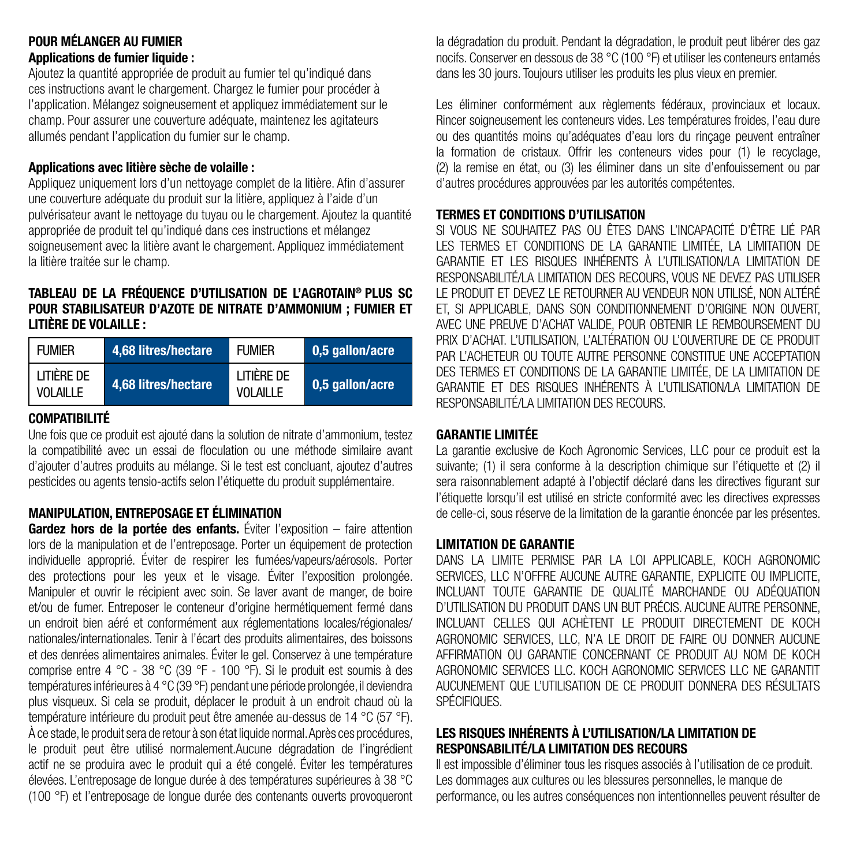# POUR MÉLANGER AU FUMIER Applications de fumier liquide :

Ajoutez la quantité appropriée de produit au fumier tel qu'indiqué dans ces instructions avant le chargement. Chargez le fumier pour procéder à l'application. Mélangez soigneusement et appliquez immédiatement sur le champ. Pour assurer une couverture adéquate, maintenez les agitateurs allumés pendant l'application du fumier sur le champ.

# Applications avec litière sèche de volaille :

Appliquez uniquement lors d'un nettoyage complet de la litière. Afin d'assurer une couverture adéquate du produit sur la litière, appliquez à l'aide d'un pulvérisateur avant le nettoyage du tuyau ou le chargement. Ajoutez la quantité appropriée de produit tel qu'indiqué dans ces instructions et mélangez soigneusement avec la litière avant le chargement. Appliquez immédiatement la litière traitée sur le champ.

#### TABLEAU DE LA FRÉQUENCE D'UTILISATION DE L'AGROTAIN® PLUS SC POUR STABILISATEUR D'AZOTE DE NITRATE D'AMMONIUM ; FUMIER ET LITIÈRE DE VOLAILLE :

| <b>FUMIER</b>          | 4.68 litres/hectare | <b>FUMIER</b>           | 0,5 gallon/acre |
|------------------------|---------------------|-------------------------|-----------------|
| litière de<br>VOLAILLE | 4.68 litres/hectare | I ITIÈRE DE<br>VOLAILLE | 0,5 gallon/acre |

# COMPATIBILITÉ

Une fois que ce produit est ajouté dans la solution de nitrate d'ammonium, testez la compatibilité avec un essai de floculation ou une méthode similaire avant d'ajouter d'autres produits au mélange. Si le test est concluant, ajoutez d'autres pesticides ou agents tensio-actifs selon l'étiquette du produit supplémentaire.

# MANIPULATION, ENTREPOSAGE ET ÉLIMINATION

Gardez hors de la portée des enfants. Éviter l'exposition – faire attention lors de la manipulation et de l'entreposage. Porter un équipement de protection individuelle approprié. Éviter de respirer les fumées/vapeurs/aérosols. Porter des protections pour les yeux et le visage. Éviter l'exposition prolongée. Manipuler et ouvrir le récipient avec soin. Se laver avant de manger, de boire et/ou de fumer. Entreposer le conteneur d'origine hermétiquement fermé dans un endroit bien aéré et conformément aux réglementations locales/régionales/ nationales/internationales. Tenir à l'écart des produits alimentaires, des boissons et des denrées alimentaires animales. Éviter le gel. Conservez à une température comprise entre 4 °C - 38 °C (39 °F - 100 °F). Si le produit est soumis à des températures inférieures à 4 °C (39 °F) pendant une période prolongée, il deviendra plus visqueux. Si cela se produit, déplacer le produit à un endroit chaud où la température intérieure du produit peut être amenée au-dessus de 14 °C (57 °F). À ce stade, le produit sera de retour à son état liquide normal. Après ces procédures, le produit peut être utilisé normalement.Aucune dégradation de l'ingrédient actif ne se produira avec le produit qui a été congelé. Éviter les températures élevées. L'entreposage de longue durée à des températures supérieures à 38 °C (100 °F) et l'entreposage de longue durée des contenants ouverts provoqueront la dégradation du produit. Pendant la dégradation, le produit peut libérer des gaz nocifs. Conserver en dessous de 38 °C (100 °F) et utiliser les conteneurs entamés dans les 30 jours. Toujours utiliser les produits les plus vieux en premier.

Les éliminer conformément aux règlements fédéraux, provinciaux et locaux. Rincer soigneusement les conteneurs vides. Les températures froides, l'eau dure ou des quantités moins qu'adéquates d'eau lors du rinçage peuvent entraîner la formation de cristaux. Offrir les conteneurs vides pour (1) le recyclage, (2) la remise en état, ou (3) les éliminer dans un site d'enfouissement ou par d'autres procédures approuvées par les autorités compétentes.

#### TERMES ET CONDITIONS D'UTILISATION

SI VOUS NE SOUHAITEZ PAS OU ÊTES DANS L'INCAPACITÉ D'ÊTRE LIÉ PAR LES TERMES ET CONDITIONS DE LA GARANTIE LIMITÉE, LA LIMITATION DE GARANTIE ET LES RISQUES INHÉRENTS À L'UTILISATION/LA LIMITATION DE RESPONSABILITÉ/LA LIMITATION DES RECOURS, VOUS NE DEVEZ PAS UTILISER LE PRODUIT ET DEVEZ LE RETOURNER AU VENDEUR NON UTILISÉ, NON ALTÉRÉ ET, SI APPLICABLE, DANS SON CONDITIONNEMENT D'ORIGINE NON OUVERT, AVEC UNE PREUVE D'ACHAT VALIDE, POUR OBTENIR LE REMBOURSEMENT DU PRIX D'ACHAT. L'UTILISATION, L'ALTÉRATION OU L'OUVERTURE DE CE PRODUIT PAR L'ACHETEUR OU TOUTE AUTRE PERSONNE CONSTITUE UNE ACCEPTATION DES TERMES ET CONDITIONS DE LA GARANTIE LIMITÉE, DE LA LIMITATION DE GARANTIE ET DES RISQUES INHÉRENTS À L'UTILISATION/LA LIMITATION DE RESPONSABILITÉ/LA LIMITATION DES RECOURS.

#### GARANTIE LIMITÉE

La garantie exclusive de Koch Agronomic Services, LLC pour ce produit est la suivante; (1) il sera conforme à la description chimique sur l'étiquette et (2) il sera raisonnablement adapté à l'objectif déclaré dans les directives figurant sur l'étiquette lorsqu'il est utilisé en stricte conformité avec les directives expresses de celle-ci, sous réserve de la limitation de la garantie énoncée par les présentes.

# LIMITATION DE GARANTIE

DANS LA LIMITE PERMISE PAR LA LOI APPLICABLE, KOCH AGRONOMIC SERVICES, LLC N'OFFRE AUCUNE AUTRE GARANTIE, EXPLICITE OU IMPLICITE. INCLUANT TOUTE GARANTIE DE QUALITÉ MARCHANDE OU ADÉQUATION D'UTILISATION DU PRODUIT DANS UN BUT PRÉCIS. AUCUNE AUTRE PERSONNE, INCLUANT CELLES QUI ACHÈTENT LE PRODUIT DIRECTEMENT DE KOCH AGRONOMIC SERVICES, LLC, N'A LE DROIT DE FAIRE OU DONNER AUCUNE AFFIRMATION OU GARANTIE CONCERNANT CE PRODUIT AU NOM DE KOCH AGRONOMIC SERVICES LLC. KOCH AGRONOMIC SERVICES LLC NE GARANTIT AUCUNEMENT QUE L'UTILISATION DE CE PRODUIT DONNERA DES RÉSULTATS SPÉCIFIQUES.

# LES RISQUES INHÉRENTS À L'UTILISATION/LA LIMITATION DE RESPONSABILITÉ/LA LIMITATION DES RECOURS

Il est impossible d'éliminer tous les risques associés à l'utilisation de ce produit. Les dommages aux cultures ou les blessures personnelles, le manque de performance, ou les autres conséquences non intentionnelles peuvent résulter de